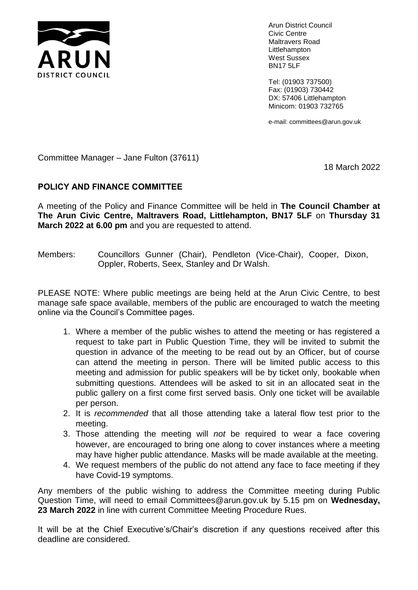

Arun District Council Civic Centre Maltravers Road Littlehampton West Sussex BN17 5LF

Tel: (01903 737500) Fax: (01903) 730442 DX: 57406 Littlehampton Minicom: 01903 732765

e-mail: committees@arun.gov.uk

Committee Manager – Jane Fulton (37611)

18 March 2022

## **POLICY AND FINANCE COMMITTEE**

A meeting of the Policy and Finance Committee will be held in **The Council Chamber at The Arun Civic Centre, Maltravers Road, Littlehampton, BN17 5LF** on **Thursday 31 March 2022 at 6.00 pm** and you are requested to attend.

Members: Councillors Gunner (Chair), Pendleton (Vice-Chair), Cooper, Dixon, Oppler, Roberts, Seex, Stanley and Dr Walsh.

PLEASE NOTE: Where public meetings are being held at the Arun Civic Centre, to best manage safe space available, members of the public are encouraged to watch the meeting online via the Council's Committee pages.

- 1. Where a member of the public wishes to attend the meeting or has registered a request to take part in Public Question Time, they will be invited to submit the question in advance of the meeting to be read out by an Officer, but of course can attend the meeting in person. There will be limited public access to this meeting and admission for public speakers will be by ticket only, bookable when submitting questions. Attendees will be asked to sit in an allocated seat in the public gallery on a first come first served basis. Only one ticket will be available per person.
- 2. It is *recommended* that all those attending take a lateral flow test prior to the meeting.
- 3. Those attending the meeting will *not* be required to wear a face covering however, are encouraged to bring one along to cover instances where a meeting may have higher public attendance. Masks will be made available at the meeting.
- 4. We request members of the public do not attend any face to face meeting if they have Covid-19 symptoms.

Any members of the public wishing to address the Committee meeting during Public Question Time, will need to email Committees@arun.gov.uk by 5.15 pm on **Wednesday, 23 March 2022** in line with current Committee Meeting Procedure Rues.

It will be at the Chief Executive's/Chair's discretion if any questions received after this deadline are considered.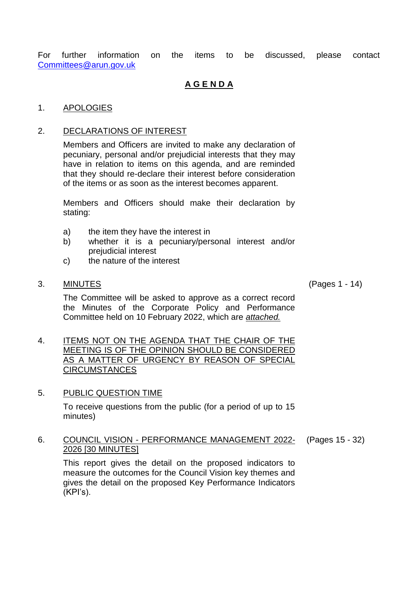For further information on the items to be discussed, please contact [Committees@arun.gov.uk](mailto:Committees@arun.gov.uk)

# **A G E N D A**

### 1. APOLOGIES

### 2. DECLARATIONS OF INTEREST

Members and Officers are invited to make any declaration of pecuniary, personal and/or prejudicial interests that they may have in relation to items on this agenda, and are reminded that they should re-declare their interest before consideration of the items or as soon as the interest becomes apparent.

Members and Officers should make their declaration by stating:

- a) the item they have the interest in
- b) whether it is a pecuniary/personal interest and/or prejudicial interest
- c) the nature of the interest
- 3. MINUTES (Pages 1 14)

The Committee will be asked to approve as a correct record the Minutes of the Corporate Policy and Performance Committee held on 10 February 2022, which are *attached.*

- 4. ITEMS NOT ON THE AGENDA THAT THE CHAIR OF THE **MEETING IS OF THE OPINION SHOULD BE CONSIDERED** AS A MATTER OF URGENCY BY REASON OF SPECIAL CIRCUMSTANCES
- 5. PUBLIC QUESTION TIME

To receive questions from the public (for a period of up to 15 minutes)

#### 6. COUNCIL VISION - PERFORMANCE MANAGEMENT 2022- 2026 [30 MINUTES] (Pages 15 - 32)

This report gives the detail on the proposed indicators to measure the outcomes for the Council Vision key themes and gives the detail on the proposed Key Performance Indicators (KPI's).